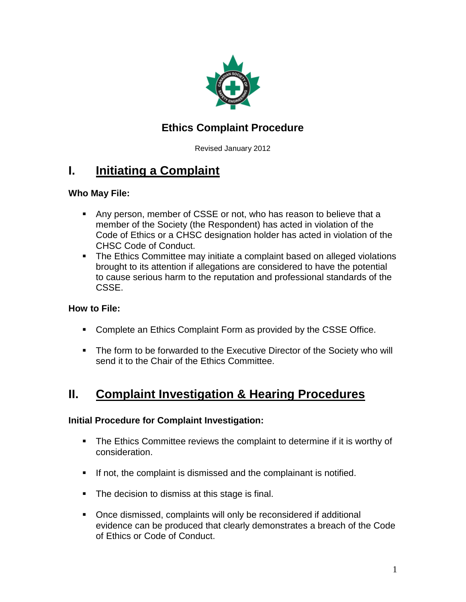

## **Ethics Complaint Procedure**

Revised January 2012

# **I. Initiating a Complaint**

### **Who May File:**

- Any person, member of CSSE or not, who has reason to believe that a member of the Society (the Respondent) has acted in violation of the Code of Ethics or a CHSC designation holder has acted in violation of the CHSC Code of Conduct.
- The Ethics Committee may initiate a complaint based on alleged violations brought to its attention if allegations are considered to have the potential to cause serious harm to the reputation and professional standards of the CSSE.

### **How to File:**

- Complete an Ethics Complaint Form as provided by the CSSE Office.
- The form to be forwarded to the Executive Director of the Society who will send it to the Chair of the Ethics Committee.

# **II. Complaint Investigation & Hearing Procedures**

#### **Initial Procedure for Complaint Investigation:**

- The Ethics Committee reviews the complaint to determine if it is worthy of consideration.
- If not, the complaint is dismissed and the complainant is notified.
- **The decision to dismiss at this stage is final.**
- Once dismissed, complaints will only be reconsidered if additional evidence can be produced that clearly demonstrates a breach of the Code of Ethics or Code of Conduct.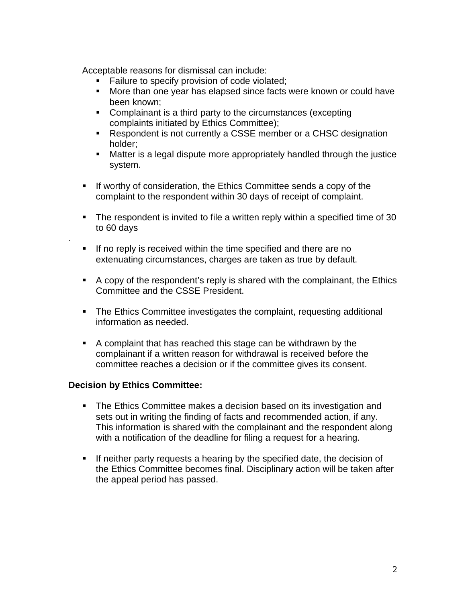Acceptable reasons for dismissal can include:

- **Failure to specify provision of code violated;**
- More than one year has elapsed since facts were known or could have been known;
- **Complainant is a third party to the circumstances (excepting** complaints initiated by Ethics Committee);
- Respondent is not currently a CSSE member or a CHSC designation holder;
- Matter is a legal dispute more appropriately handled through the justice system.
- If worthy of consideration, the Ethics Committee sends a copy of the complaint to the respondent within 30 days of receipt of complaint.
- The respondent is invited to file a written reply within a specified time of 30 to 60 days
- $\blacksquare$  If no reply is received within the time specified and there are no extenuating circumstances, charges are taken as true by default.
- A copy of the respondent's reply is shared with the complainant, the Ethics Committee and the CSSE President.
- The Ethics Committee investigates the complaint, requesting additional information as needed.
- A complaint that has reached this stage can be withdrawn by the complainant if a written reason for withdrawal is received before the committee reaches a decision or if the committee gives its consent.

#### **Decision by Ethics Committee:**

.

- The Ethics Committee makes a decision based on its investigation and sets out in writing the finding of facts and recommended action, if any. This information is shared with the complainant and the respondent along with a notification of the deadline for filing a request for a hearing.
- If neither party requests a hearing by the specified date, the decision of the Ethics Committee becomes final. Disciplinary action will be taken after the appeal period has passed.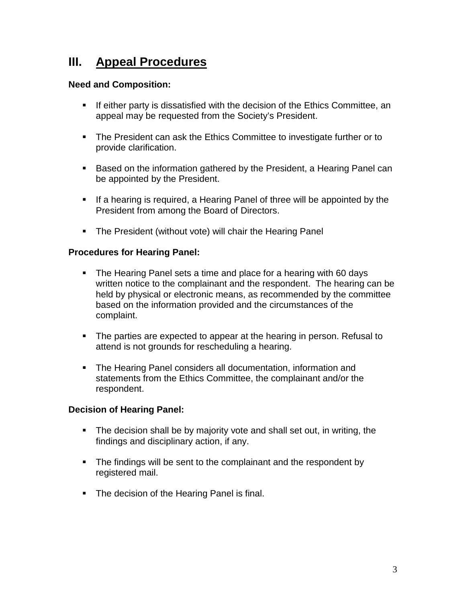# **III. Appeal Procedures**

#### **Need and Composition:**

- **If either party is dissatisfied with the decision of the Ethics Committee, an** appeal may be requested from the Society's President.
- **The President can ask the Ethics Committee to investigate further or to** provide clarification.
- Based on the information gathered by the President, a Hearing Panel can be appointed by the President.
- If a hearing is required, a Hearing Panel of three will be appointed by the President from among the Board of Directors.
- **The President (without vote) will chair the Hearing Panel**

#### **Procedures for Hearing Panel:**

- The Hearing Panel sets a time and place for a hearing with 60 days written notice to the complainant and the respondent. The hearing can be held by physical or electronic means, as recommended by the committee based on the information provided and the circumstances of the complaint.
- The parties are expected to appear at the hearing in person. Refusal to attend is not grounds for rescheduling a hearing.
- The Hearing Panel considers all documentation, information and statements from the Ethics Committee, the complainant and/or the respondent.

#### **Decision of Hearing Panel:**

- The decision shall be by majority vote and shall set out, in writing, the findings and disciplinary action, if any.
- The findings will be sent to the complainant and the respondent by registered mail.
- **The decision of the Hearing Panel is final.**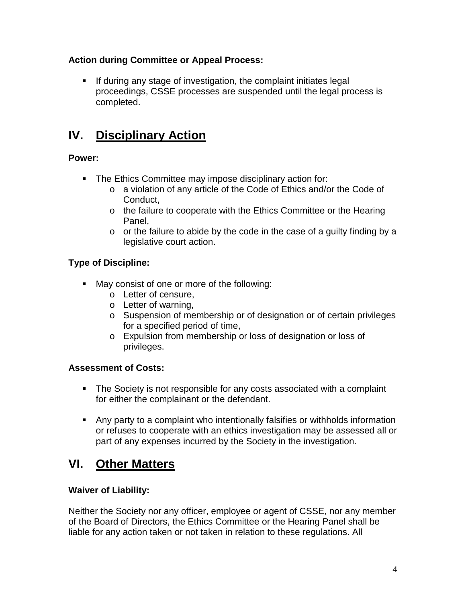### **Action during Committee or Appeal Process:**

 $\blacksquare$  If during any stage of investigation, the complaint initiates legal proceedings, CSSE processes are suspended until the legal process is completed.

# **IV. Disciplinary Action**

#### **Power:**

- **The Ethics Committee may impose disciplinary action for:** 
	- o a violation of any article of the Code of Ethics and/or the Code of Conduct,
	- o the failure to cooperate with the Ethics Committee or the Hearing Panel,
	- o or the failure to abide by the code in the case of a guilty finding by a legislative court action.

### **Type of Discipline:**

- **May consist of one or more of the following:** 
	- o Letter of censure,
	- o Letter of warning,
	- o Suspension of membership or of designation or of certain privileges for a specified period of time,
	- o Expulsion from membership or loss of designation or loss of privileges.

#### **Assessment of Costs:**

- The Society is not responsible for any costs associated with a complaint for either the complainant or the defendant.
- Any party to a complaint who intentionally falsifies or withholds information or refuses to cooperate with an ethics investigation may be assessed all or part of any expenses incurred by the Society in the investigation.

## **VI. Other Matters**

#### **Waiver of Liability:**

Neither the Society nor any officer, employee or agent of CSSE, nor any member of the Board of Directors, the Ethics Committee or the Hearing Panel shall be liable for any action taken or not taken in relation to these regulations. All